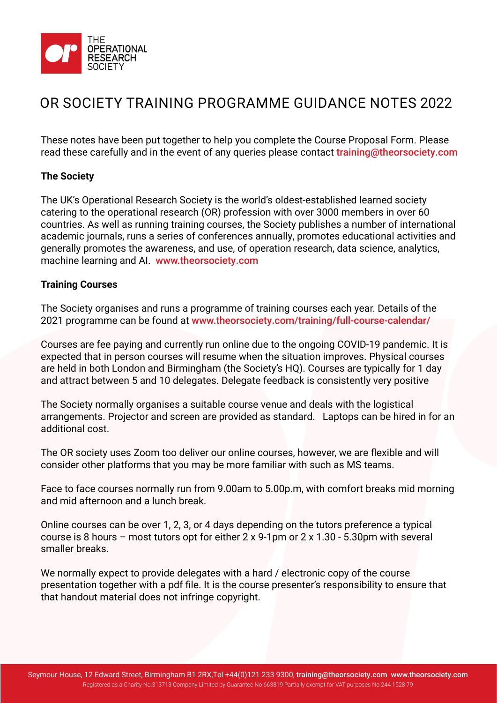

# OR SOCIETY TRAINING PROGRAMME GUIDANCE NOTES 2022

These notes have been put together to help you complete the Course Proposal Form. Please read these carefully and in the event of any queries please contact training@theorsociety.com

### **The Society**

The UK's Operational Research Society is the world's oldest-established learned society catering to the operational research (OR) profession with over 3000 members in over 60 countries. As well as running training courses, the Society publishes a number of international academic journals, runs a series of conferences annually, promotes educational activities and generally promotes the awareness, and use, of operation research, data science, analytics, machine learning and AI. <www.theorsociety.com>

### **Training Courses**

The Society organises and runs a programme of training courses each year. Details of the 2021 programme can be found at [www.theorsociety.com/training/full-course-calendar/](www.theorsociety.com/training/full-course-calendar)

Courses are fee paying and currently run online due to the ongoing COVID-19 pandemic. It is expected that in person courses will resume when the situation improves. Physical courses are held in both London and Birmingham (the Society's HQ). Courses are typically for 1 day and attract between 5 and 10 delegates. Delegate feedback is consistently very positive

The Society normally organises a suitable course venue and deals with the logistical arrangements. Projector and screen are provided as standard. Laptops can be hired in for an additional cost.

The OR society uses Zoom too deliver our online courses, however, we are flexible and will consider other platforms that you may be more familiar with such as MS teams.

Face to face courses normally run from 9.00am to 5.00p.m, with comfort breaks mid morning and mid afternoon and a lunch break.

Online courses can be over 1, 2, 3, or 4 days depending on the tutors preference a typical course is 8 hours – most tutors opt for either 2 x 9-1pm or 2 x 1.30 - 5.30pm with several smaller breaks.

We normally expect to provide delegates with a hard / electronic copy of the course presentation together with a pdf file. It is the course presenter's responsibility to ensure that that handout material does not infringe copyright.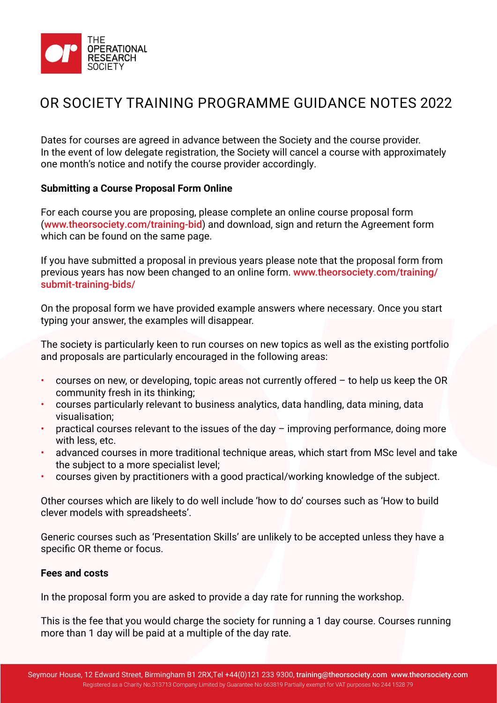

# OR SOCIETY TRAINING PROGRAMME GUIDANCE NOTES 2022

Dates for courses are agreed in advance between the Society and the course provider. In the event of low delegate registration, the Society will cancel a course with approximately one month's notice and notify the course provider accordingly.

### **Submitting a Course Proposal Form Online**

For each course you are proposing, please complete an online course proposal form (<www.theorsociety.com/training-bid>) and download, sign and return the Agreement form which can be found on the same page.

If you have submitted a proposal in previous years please note that the proposal form from [previous years has now been changed to an online form.](www.theorsociety.com/training/submit-training-bids/) www.theorsociety.com/training/ submit-training-bids/

On the proposal form we have provided example answers where necessary. Once you start typing your answer, the examples will disappear.

The society is particularly keen to run courses on new topics as well as the existing portfolio and proposals are particularly encouraged in the following areas:

- $\cdot$  courses on new, or developing, topic areas not currently offered  $-$  to help us keep the OR community fresh in its thinking;
- courses particularly relevant to business analytics, data handling, data mining, data visualisation;
- practical courses relevant to the issues of the day  $-$  improving performance, doing more with less, etc.
- advanced courses in more traditional technique areas, which start from MSc level and take the subject to a more specialist level;
- courses given by practitioners with a good practical/working knowledge of the subject.

Other courses which are likely to do well include 'how to do' courses such as 'How to build clever models with spreadsheets'.

Generic courses such as 'Presentation Skills' are unlikely to be accepted unless they have a specific OR theme or focus.

#### **Fees and costs**

In the proposal form you are asked to provide a day rate for running the workshop.

This is the fee that you would charge the society for running a 1 day course. Courses running more than 1 day will be paid at a multiple of the day rate.